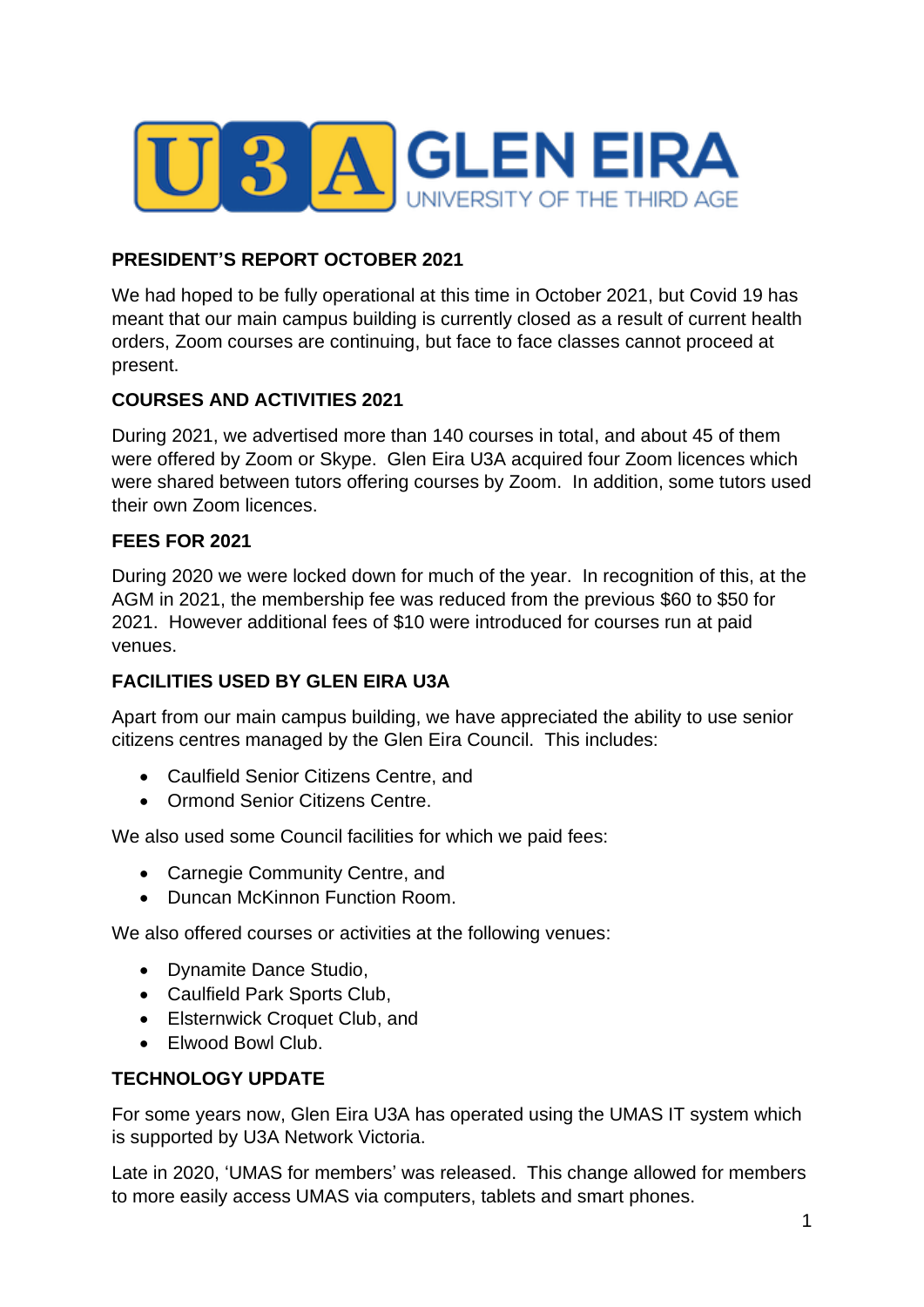

### **PRESIDENT'S REPORT OCTOBER 2021**

We had hoped to be fully operational at this time in October 2021, but Covid 19 has meant that our main campus building is currently closed as a result of current health orders, Zoom courses are continuing, but face to face classes cannot proceed at present.

### **COURSES AND ACTIVITIES 2021**

During 2021, we advertised more than 140 courses in total, and about 45 of them were offered by Zoom or Skype. Glen Eira U3A acquired four Zoom licences which were shared between tutors offering courses by Zoom. In addition, some tutors used their own Zoom licences.

### **FEES FOR 2021**

During 2020 we were locked down for much of the year. In recognition of this, at the AGM in 2021, the membership fee was reduced from the previous \$60 to \$50 for 2021. However additional fees of \$10 were introduced for courses run at paid venues.

### **FACILITIES USED BY GLEN EIRA U3A**

Apart from our main campus building, we have appreciated the ability to use senior citizens centres managed by the Glen Eira Council. This includes:

- Caulfield Senior Citizens Centre, and
- Ormond Senior Citizens Centre.

We also used some Council facilities for which we paid fees:

- Carnegie Community Centre, and
- Duncan McKinnon Function Room.

We also offered courses or activities at the following venues:

- Dynamite Dance Studio,
- Caulfield Park Sports Club,
- Elsternwick Croquet Club, and
- Elwood Bowl Club.

### **TECHNOLOGY UPDATE**

For some years now, Glen Eira U3A has operated using the UMAS IT system which is supported by U3A Network Victoria.

Late in 2020, 'UMAS for members' was released. This change allowed for members to more easily access UMAS via computers, tablets and smart phones.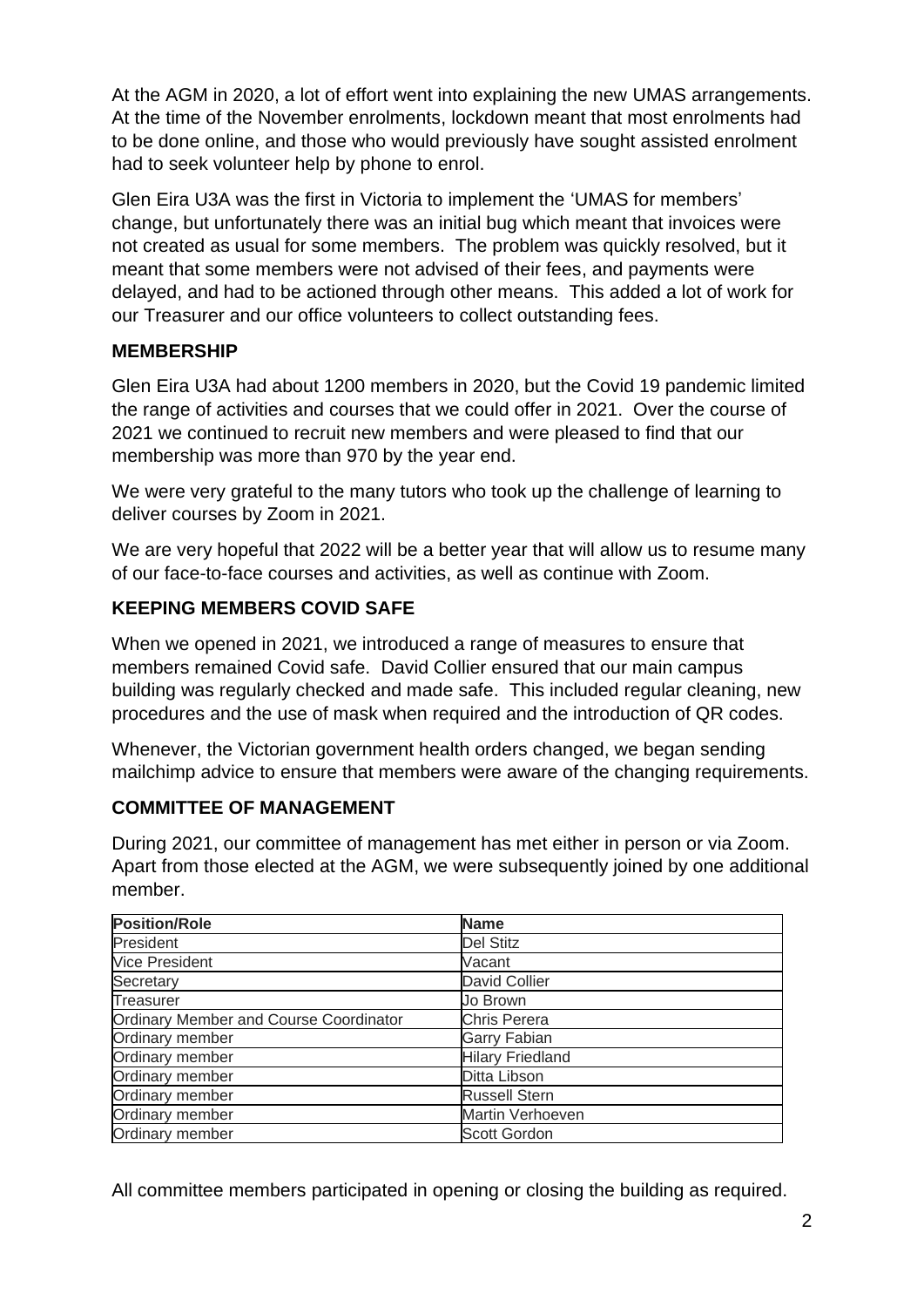At the AGM in 2020, a lot of effort went into explaining the new UMAS arrangements. At the time of the November enrolments, lockdown meant that most enrolments had to be done online, and those who would previously have sought assisted enrolment had to seek volunteer help by phone to enrol.

Glen Eira U3A was the first in Victoria to implement the 'UMAS for members' change, but unfortunately there was an initial bug which meant that invoices were not created as usual for some members. The problem was quickly resolved, but it meant that some members were not advised of their fees, and payments were delayed, and had to be actioned through other means. This added a lot of work for our Treasurer and our office volunteers to collect outstanding fees.

### **MEMBERSHIP**

Glen Eira U3A had about 1200 members in 2020, but the Covid 19 pandemic limited the range of activities and courses that we could offer in 2021. Over the course of 2021 we continued to recruit new members and were pleased to find that our membership was more than 970 by the year end.

We were very grateful to the many tutors who took up the challenge of learning to deliver courses by Zoom in 2021.

We are very hopeful that 2022 will be a better year that will allow us to resume many of our face-to-face courses and activities, as well as continue with Zoom.

# **KEEPING MEMBERS COVID SAFE**

When we opened in 2021, we introduced a range of measures to ensure that members remained Covid safe. David Collier ensured that our main campus building was regularly checked and made safe. This included regular cleaning, new procedures and the use of mask when required and the introduction of QR codes.

Whenever, the Victorian government health orders changed, we began sending mailchimp advice to ensure that members were aware of the changing requirements.

## **COMMITTEE OF MANAGEMENT**

During 2021, our committee of management has met either in person or via Zoom. Apart from those elected at the AGM, we were subsequently joined by one additional member.

| <b>Position/Role</b>                   | <b>Name</b>             |
|----------------------------------------|-------------------------|
| President                              | <b>Del Stitz</b>        |
| <b>Vice President</b>                  | Vacant                  |
| Secretary                              | <b>David Collier</b>    |
| Treasurer                              | Jo Brown                |
| Ordinary Member and Course Coordinator | <b>Chris Perera</b>     |
| Ordinary member                        | <b>Garry Fabian</b>     |
| Ordinary member                        | <b>Hilary Friedland</b> |
| Ordinary member                        | Ditta Libson            |
| Ordinary member                        | <b>Russell Stern</b>    |
| Ordinary member                        | Martin Verhoeven        |
| Ordinary member                        | <b>Scott Gordon</b>     |

All committee members participated in opening or closing the building as required.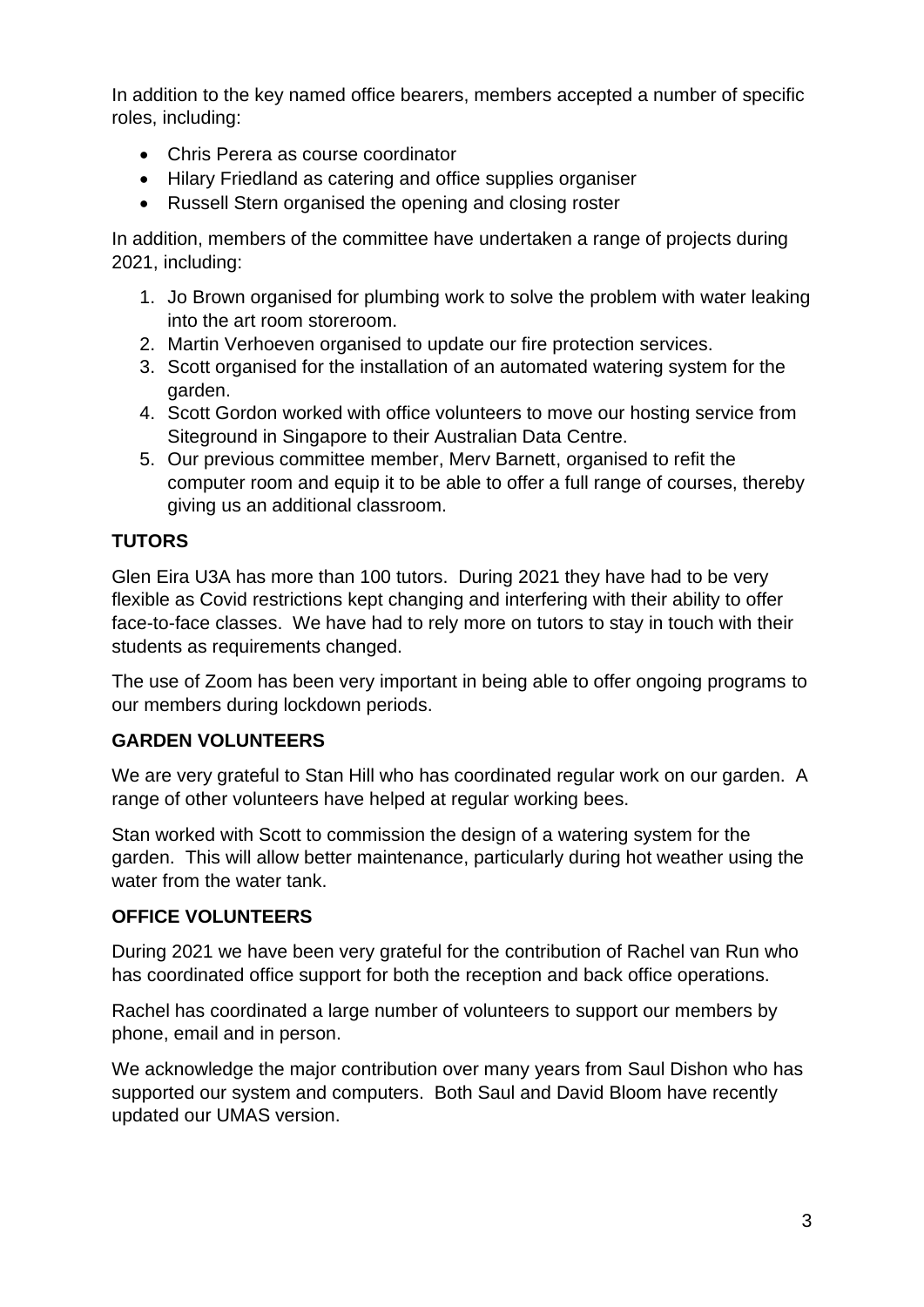In addition to the key named office bearers, members accepted a number of specific roles, including:

- Chris Perera as course coordinator
- Hilary Friedland as catering and office supplies organiser
- Russell Stern organised the opening and closing roster

In addition, members of the committee have undertaken a range of projects during 2021, including:

- 1. Jo Brown organised for plumbing work to solve the problem with water leaking into the art room storeroom.
- 2. Martin Verhoeven organised to update our fire protection services.
- 3. Scott organised for the installation of an automated watering system for the garden.
- 4. Scott Gordon worked with office volunteers to move our hosting service from Siteground in Singapore to their Australian Data Centre.
- 5. Our previous committee member, Merv Barnett, organised to refit the computer room and equip it to be able to offer a full range of courses, thereby giving us an additional classroom.

### **TUTORS**

Glen Eira U3A has more than 100 tutors. During 2021 they have had to be very flexible as Covid restrictions kept changing and interfering with their ability to offer face-to-face classes. We have had to rely more on tutors to stay in touch with their students as requirements changed.

The use of Zoom has been very important in being able to offer ongoing programs to our members during lockdown periods.

### **GARDEN VOLUNTEERS**

We are very grateful to Stan Hill who has coordinated regular work on our garden. A range of other volunteers have helped at regular working bees.

Stan worked with Scott to commission the design of a watering system for the garden. This will allow better maintenance, particularly during hot weather using the water from the water tank.

## **OFFICE VOLUNTEERS**

During 2021 we have been very grateful for the contribution of Rachel van Run who has coordinated office support for both the reception and back office operations.

Rachel has coordinated a large number of volunteers to support our members by phone, email and in person.

We acknowledge the major contribution over many years from Saul Dishon who has supported our system and computers. Both Saul and David Bloom have recently updated our UMAS version.